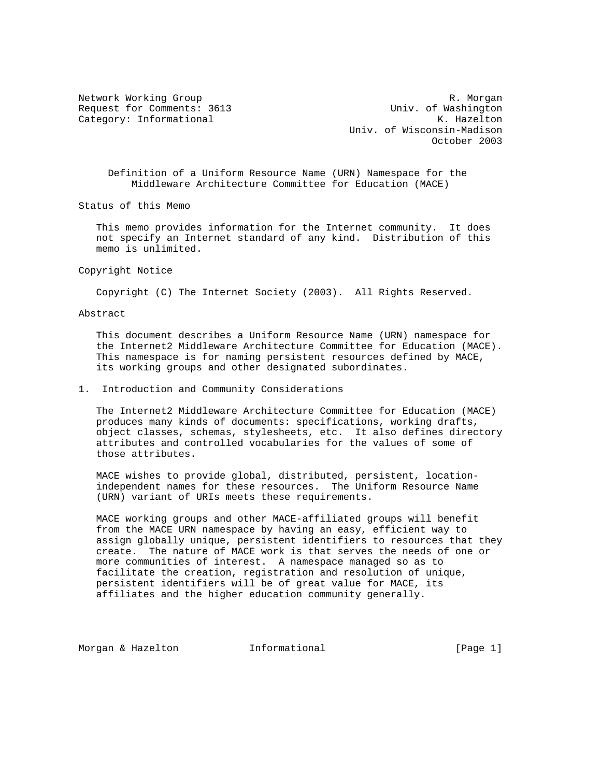Network Working Group and the set of the set of the set of the R. Morgan Request for Comments: 3613 Univ. of Washington Category: Informational and Manuscriptic Category: The Manuscriptic Category: The Manuscriptic Category: The Manuscriptic Category: The Manuscriptic Category: The Manuscriptic Category: The Manuscriptic Category: The Manus Univ. of Wisconsin-Madison October 2003

 Definition of a Uniform Resource Name (URN) Namespace for the Middleware Architecture Committee for Education (MACE)

Status of this Memo

 This memo provides information for the Internet community. It does not specify an Internet standard of any kind. Distribution of this memo is unlimited.

Copyright Notice

Copyright (C) The Internet Society (2003). All Rights Reserved.

Abstract

 This document describes a Uniform Resource Name (URN) namespace for the Internet2 Middleware Architecture Committee for Education (MACE). This namespace is for naming persistent resources defined by MACE, its working groups and other designated subordinates.

## 1. Introduction and Community Considerations

 The Internet2 Middleware Architecture Committee for Education (MACE) produces many kinds of documents: specifications, working drafts, object classes, schemas, stylesheets, etc. It also defines directory attributes and controlled vocabularies for the values of some of those attributes.

 MACE wishes to provide global, distributed, persistent, location independent names for these resources. The Uniform Resource Name (URN) variant of URIs meets these requirements.

 MACE working groups and other MACE-affiliated groups will benefit from the MACE URN namespace by having an easy, efficient way to assign globally unique, persistent identifiers to resources that they create. The nature of MACE work is that serves the needs of one or more communities of interest. A namespace managed so as to facilitate the creation, registration and resolution of unique, persistent identifiers will be of great value for MACE, its affiliates and the higher education community generally.

Morgan & Hazelton **Informational** 11 (Page 1)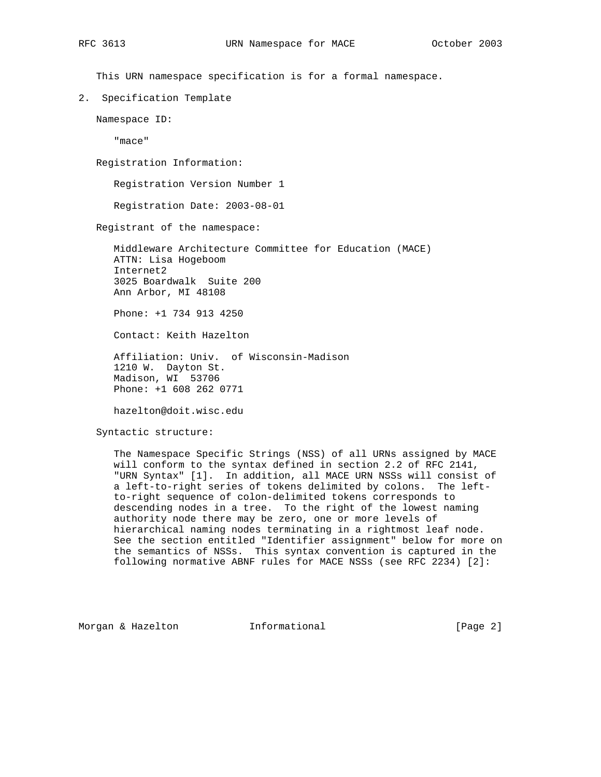This URN namespace specification is for a formal namespace.

2. Specification Template

Namespace ID:

"mace"

Registration Information:

Registration Version Number 1

Registration Date: 2003-08-01

Registrant of the namespace:

 Middleware Architecture Committee for Education (MACE) ATTN: Lisa Hogeboom Internet2 3025 Boardwalk Suite 200 Ann Arbor, MI 48108

Phone: +1 734 913 4250

Contact: Keith Hazelton

 Affiliation: Univ. of Wisconsin-Madison 1210 W. Dayton St. Madison, WI 53706 Phone: +1 608 262 0771

hazelton@doit.wisc.edu

## Syntactic structure:

 The Namespace Specific Strings (NSS) of all URNs assigned by MACE will conform to the syntax defined in section 2.2 of RFC 2141, "URN Syntax" [1]. In addition, all MACE URN NSSs will consist of a left-to-right series of tokens delimited by colons. The left to-right sequence of colon-delimited tokens corresponds to descending nodes in a tree. To the right of the lowest naming authority node there may be zero, one or more levels of hierarchical naming nodes terminating in a rightmost leaf node. See the section entitled "Identifier assignment" below for more on the semantics of NSSs. This syntax convention is captured in the following normative ABNF rules for MACE NSSs (see RFC 2234) [2]:

Morgan & Hazelton **Informational Informational** [Page 2]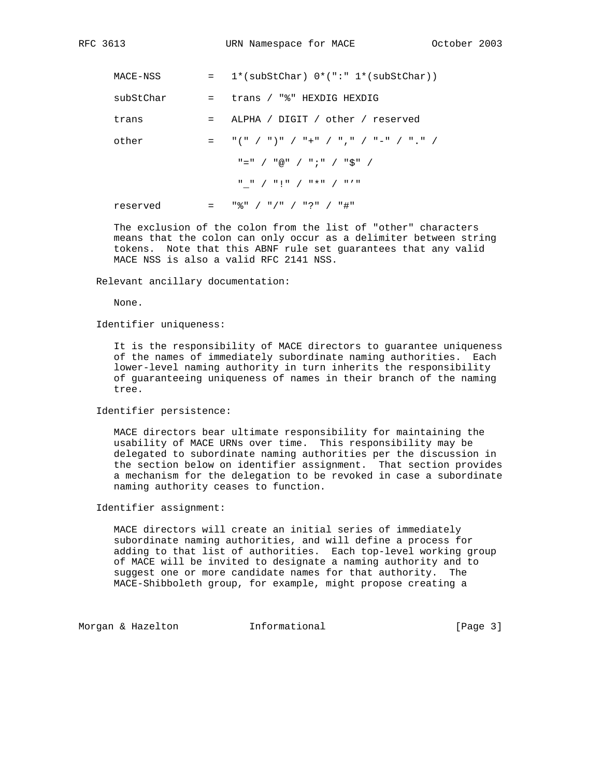| MACE-NSS  |         | $1*(\text{subStChar})$ $0*(\cdot\cdot\cdot \cdot 1*(\text{subStChar}))$ |
|-----------|---------|-------------------------------------------------------------------------|
| subStChar | $=$ $-$ | trans / "%" HEXDIG HEXDIG                                               |
| trans     | $=$     | ALPHA / DIGIT / other / reserved                                        |
| other     |         | = "(" / ")" / "+" / "," / "-" / "." /                                   |
|           |         | "=" / "@" / ";" / "\$" /                                                |
|           |         | " " / "!" / "*" / "'"                                                   |
| reserved  |         | "옹" / "/" / "?" / "#"                                                   |

 The exclusion of the colon from the list of "other" characters means that the colon can only occur as a delimiter between string tokens. Note that this ABNF rule set guarantees that any valid MACE NSS is also a valid RFC 2141 NSS.

Relevant ancillary documentation:

None.

Identifier uniqueness:

 It is the responsibility of MACE directors to guarantee uniqueness of the names of immediately subordinate naming authorities. Each lower-level naming authority in turn inherits the responsibility of guaranteeing uniqueness of names in their branch of the naming tree.

Identifier persistence:

 MACE directors bear ultimate responsibility for maintaining the usability of MACE URNs over time. This responsibility may be delegated to subordinate naming authorities per the discussion in the section below on identifier assignment. That section provides a mechanism for the delegation to be revoked in case a subordinate naming authority ceases to function.

Identifier assignment:

 MACE directors will create an initial series of immediately subordinate naming authorities, and will define a process for adding to that list of authorities. Each top-level working group of MACE will be invited to designate a naming authority and to suggest one or more candidate names for that authority. The MACE-Shibboleth group, for example, might propose creating a

Morgan & Hazelton **Informational Informational** [Page 3]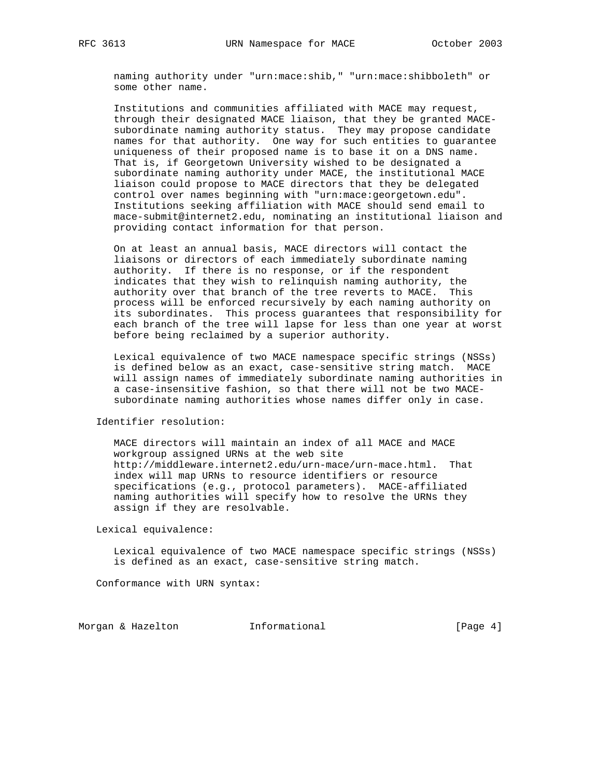naming authority under "urn:mace:shib," "urn:mace:shibboleth" or some other name.

 Institutions and communities affiliated with MACE may request, through their designated MACE liaison, that they be granted MACE subordinate naming authority status. They may propose candidate names for that authority. One way for such entities to guarantee uniqueness of their proposed name is to base it on a DNS name. That is, if Georgetown University wished to be designated a subordinate naming authority under MACE, the institutional MACE liaison could propose to MACE directors that they be delegated control over names beginning with "urn:mace:georgetown.edu". Institutions seeking affiliation with MACE should send email to mace-submit@internet2.edu, nominating an institutional liaison and providing contact information for that person.

 On at least an annual basis, MACE directors will contact the liaisons or directors of each immediately subordinate naming authority. If there is no response, or if the respondent indicates that they wish to relinquish naming authority, the authority over that branch of the tree reverts to MACE. This process will be enforced recursively by each naming authority on its subordinates. This process guarantees that responsibility for each branch of the tree will lapse for less than one year at worst before being reclaimed by a superior authority.

 Lexical equivalence of two MACE namespace specific strings (NSSs) is defined below as an exact, case-sensitive string match. MACE will assign names of immediately subordinate naming authorities in a case-insensitive fashion, so that there will not be two MACE subordinate naming authorities whose names differ only in case.

Identifier resolution:

 MACE directors will maintain an index of all MACE and MACE workgroup assigned URNs at the web site http://middleware.internet2.edu/urn-mace/urn-mace.html. That index will map URNs to resource identifiers or resource specifications (e.g., protocol parameters). MACE-affiliated naming authorities will specify how to resolve the URNs they assign if they are resolvable.

Lexical equivalence:

 Lexical equivalence of two MACE namespace specific strings (NSSs) is defined as an exact, case-sensitive string match.

Conformance with URN syntax:

Morgan & Hazelton **Informational Informational** [Page 4]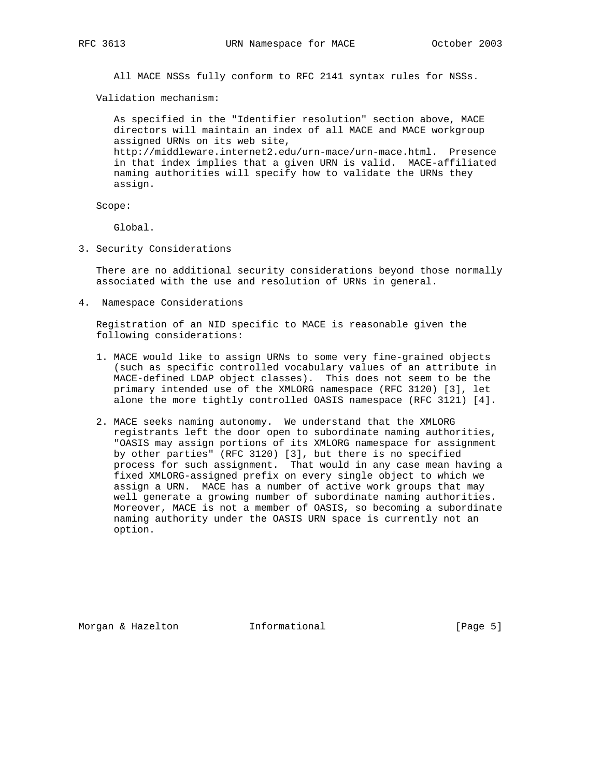All MACE NSSs fully conform to RFC 2141 syntax rules for NSSs.

Validation mechanism:

 As specified in the "Identifier resolution" section above, MACE directors will maintain an index of all MACE and MACE workgroup assigned URNs on its web site, http://middleware.internet2.edu/urn-mace/urn-mace.html. Presence in that index implies that a given URN is valid. MACE-affiliated naming authorities will specify how to validate the URNs they assign.

Scope:

Global.

3. Security Considerations

 There are no additional security considerations beyond those normally associated with the use and resolution of URNs in general.

4. Namespace Considerations

 Registration of an NID specific to MACE is reasonable given the following considerations:

- 1. MACE would like to assign URNs to some very fine-grained objects (such as specific controlled vocabulary values of an attribute in MACE-defined LDAP object classes). This does not seem to be the primary intended use of the XMLORG namespace (RFC 3120) [3], let alone the more tightly controlled OASIS namespace (RFC 3121) [4].
- 2. MACE seeks naming autonomy. We understand that the XMLORG registrants left the door open to subordinate naming authorities, "OASIS may assign portions of its XMLORG namespace for assignment by other parties" (RFC 3120) [3], but there is no specified process for such assignment. That would in any case mean having a fixed XMLORG-assigned prefix on every single object to which we assign a URN. MACE has a number of active work groups that may well generate a growing number of subordinate naming authorities. Moreover, MACE is not a member of OASIS, so becoming a subordinate naming authority under the OASIS URN space is currently not an option.

Morgan & Hazelton **Informational Informational** [Page 5]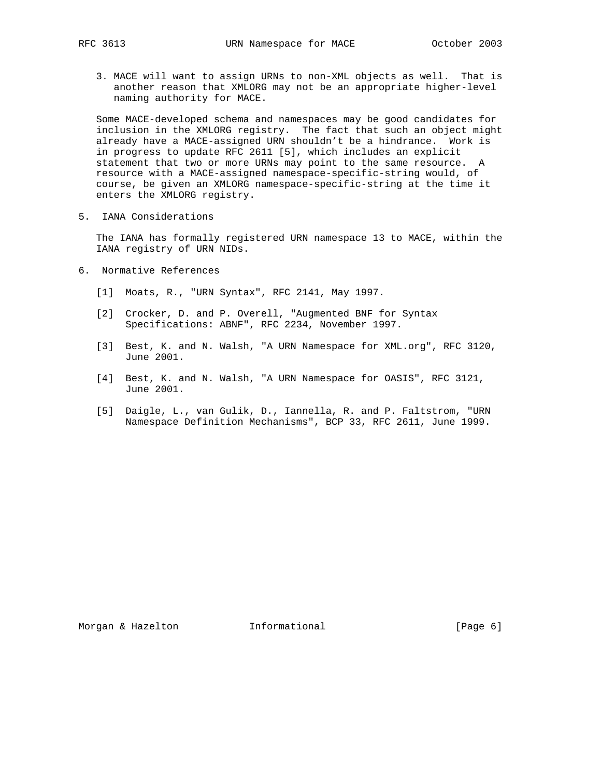3. MACE will want to assign URNs to non-XML objects as well. That is another reason that XMLORG may not be an appropriate higher-level naming authority for MACE.

 Some MACE-developed schema and namespaces may be good candidates for inclusion in the XMLORG registry. The fact that such an object might already have a MACE-assigned URN shouldn't be a hindrance. Work is in progress to update RFC 2611 [5], which includes an explicit statement that two or more URNs may point to the same resource. A resource with a MACE-assigned namespace-specific-string would, of course, be given an XMLORG namespace-specific-string at the time it enters the XMLORG registry.

5. IANA Considerations

 The IANA has formally registered URN namespace 13 to MACE, within the IANA registry of URN NIDs.

- 6. Normative References
	- [1] Moats, R., "URN Syntax", RFC 2141, May 1997.
	- [2] Crocker, D. and P. Overell, "Augmented BNF for Syntax Specifications: ABNF", RFC 2234, November 1997.
	- [3] Best, K. and N. Walsh, "A URN Namespace for XML.org", RFC 3120, June 2001.
	- [4] Best, K. and N. Walsh, "A URN Namespace for OASIS", RFC 3121, June 2001.
	- [5] Daigle, L., van Gulik, D., Iannella, R. and P. Faltstrom, "URN Namespace Definition Mechanisms", BCP 33, RFC 2611, June 1999.

Morgan & Hazelton **Informational Informational** [Page 6]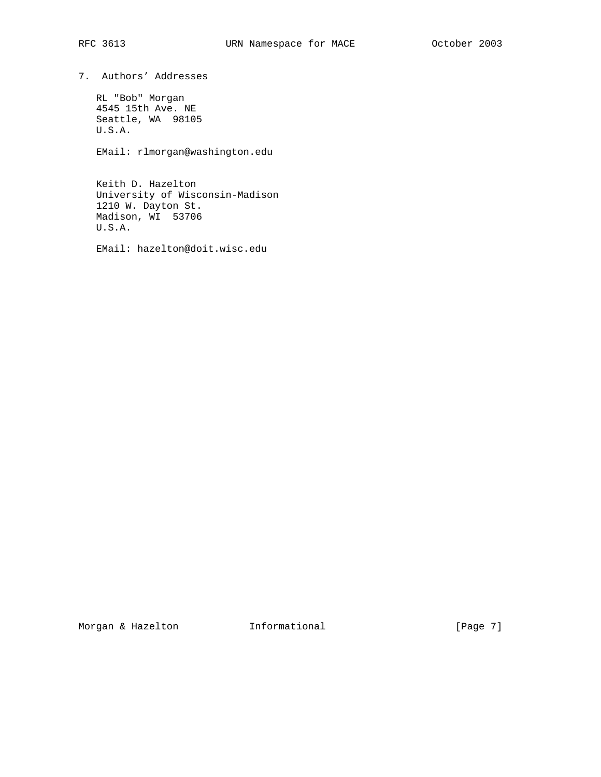7. Authors' Addresses

 RL "Bob" Morgan 4545 15th Ave. NE Seattle, WA 98105 U.S.A.

EMail: rlmorgan@washington.edu

 Keith D. Hazelton University of Wisconsin-Madison 1210 W. Dayton St. Madison, WI 53706 U.S.A.

EMail: hazelton@doit.wisc.edu